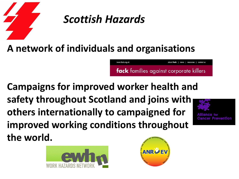

# *Scottish Hazards*

### **A network of individuals and organisations**

www.fack.org.uk

**fack** families against corporate killers

about fack | news | resources | contact us

**Campaigns for improved worker health and safety throughout Scotland and joins with others internationally to campaigned for improved working conditions throughout the world.** 





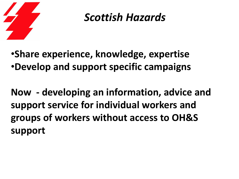

# *Scottish Hazards*

•**Share experience, knowledge, expertise** •**Develop and support specific campaigns**

**Now - developing an information, advice and support service for individual workers and groups of workers without access to OH&S support**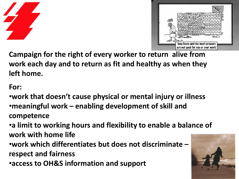



**Campaign for the right of every worker to return alive from work each day and to return as fit and healthy as when they left home.**

#### **For:**

•**work that doesn't cause physical or mental injury or illness** •**meaningful work – enabling development of skill and competence**

•**a limit to working hours and flexibility to enable a balance of work with home life** 

•**work which differentiates but does not discriminate – respect and fairness**

•**access to OH&S information and support**

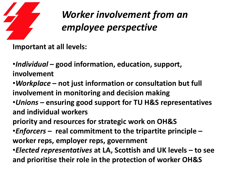

**Important at all levels:**

•*Individual* **– good information, education, support, involvement** 

•*Workplace* **– not just information or consultation but full involvement in monitoring and decision making** •*Unions* **– ensuring good support for TU H&S representatives** 

**and individual workers**

**priority and resources for strategic work on OH&S**

•*Enforcers* **– real commitment to the tripartite principle –**

**worker reps, employer reps, government**

•*Elected representatives* **at LA, Scottish and UK levels – to see and prioritise their role in the protection of worker OH&S**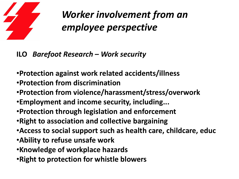

#### **ILO** *Barefoot Research – Work security*

- •**Protection against work related accidents/illness**
- •**Protection from discrimination**
- •**Protection from violence/harassment/stress/overwork**
- •**Employment and income security, including...**
- •**Protection through legislation and enforcement**
- •**Right to association and collective bargaining**
- •**Access to social support such as health care, childcare, educ**
- •**Ability to refuse unsafe work**
- •**Knowledge of workplace hazards**
- •**Right to protection for whistle blowers**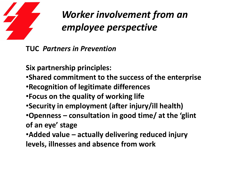

**TUC** *Partners in Prevention*

**Six partnership principles:**

- •**Shared commitment to the success of the enterprise**
- •**Recognition of legitimate differences**
- •**Focus on the quality of working life**
- •**Security in employment (after injury/ill health)**
- •**Openness – consultation in good time/ at the 'glint of an eye' stage**
- •**Added value – actually delivering reduced injury**

**levels, illnesses and absence from work**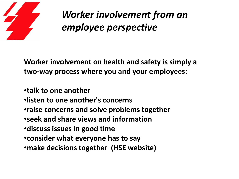

**Worker involvement on health and safety is simply a two-way process where you and your employees:**

- •**talk to one another**
- •**listen to one another's concerns**
- •**raise concerns and solve problems together**
- •**seek and share views and information**
- •**discuss issues in good time**
- •**consider what everyone has to say**
- •**make decisions together (HSE website)**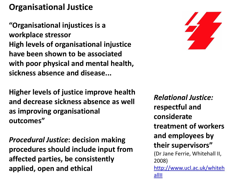### **Organisational Justice**

**"Organisational injustices is a workplace stressor High levels of organisational injustice have been shown to be associated with poor physical and mental health, sickness absence and disease...**



**Higher levels of justice improve health and decrease sickness absence as well as improving organisational outcomes"**

*Procedural Justice***: decision making procedures should include input from affected parties, be consistently applied, open and ethical**

*Relational Justice:*  **respectful and considerate treatment of workers and employees by their supervisors"**  (Dr Ja[n](http://www.ucl.ac.uk/whitehallII)e Ferrie, Whitehall II, 2008) [http://www.ucl.ac.uk/whiteh](http://www.ucl.ac.uk/whitehallII) [allII](http://www.ucl.ac.uk/whitehallII)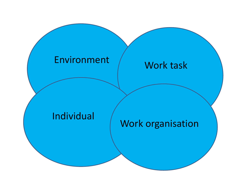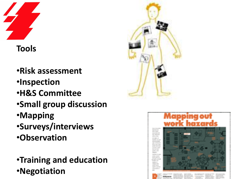

### **Tools**

- •**Risk assessment**
- •**Inspection**
- •**H&S Committee**
- •**Small group discussion**
- •**Mapping**
- •**Surveys/interviews**
- •**Observation**
- •**Training and education** •**Negotiation**



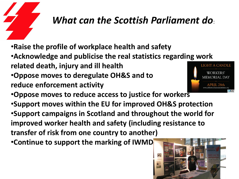# *What can the Scottish Parliament do*:

- •**Raise the profile of workplace health and safety**
- •**Acknowledge and publicise the real statistics regarding work related death, injury and ill health**
- •**Oppose moves to deregulate OH&S and to**
- **reduce enforcement activity**



- •**Oppose moves to reduce access to justice for workers**
- •**Support moves within the EU for improved OH&S protection** •**Support campaigns in Scotland and throughout the world for improved worker health and safety (including resistance to transfer of risk from one country to another)** •**Continue to support the marking of IWMD**

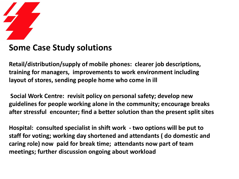

#### **Some Case Study solutions**

**Retail/distribution/supply of mobile phones: clearer job descriptions, training for managers, improvements to work environment including layout of stores, sending people home who come in ill**

**Social Work Centre: revisit policy on personal safety; develop new guidelines for people working alone in the community; encourage breaks after stressful encounter; find a better solution than the present split sites**

**Hospital: consulted specialist in shift work - two options will be put to staff for voting; working day shortened and attendants ( do domestic and caring role) now paid for break time; attendants now part of team meetings; further discussion ongoing about workload**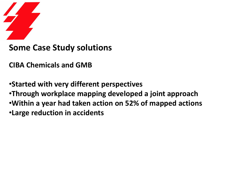

#### **Some Case Study solutions**

**CIBA Chemicals and GMB**

•**Started with very different perspectives** •**Through workplace mapping developed a joint approach** •**Within a year had taken action on 52% of mapped actions** •**Large reduction in accidents**